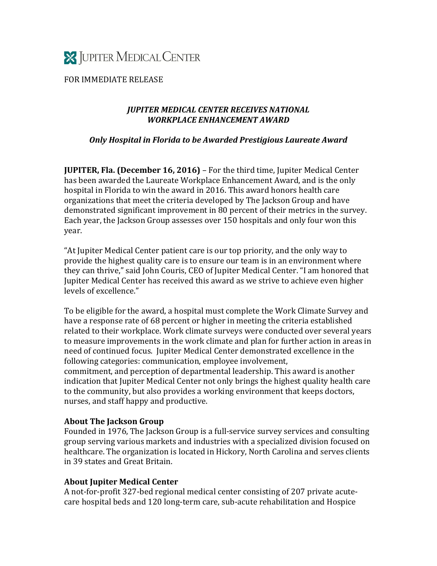

FOR IMMEDIATE RELEASE

## *JUPITER MEDICAL CENTER RECEIVES NATIONAL WORKPLACE ENHANCEMENT AWARD*

## *Only Hospital in Florida to be Awarded Prestigious Laureate Award*

**JUPITER, Fla. (December 16, 2016)** – For the third time, Jupiter Medical Center has been awarded the Laureate Workplace Enhancement Award, and is the only hospital in Florida to win the award in 2016. This award honors health care organizations that meet the criteria developed by The Jackson Group and have demonstrated significant improvement in 80 percent of their metrics in the survey. Each year, the Jackson Group assesses over 150 hospitals and only four won this year.

"At Jupiter Medical Center patient care is our top priority, and the only way to provide the highest quality care is to ensure our team is in an environment where they can thrive," said John Couris, CEO of Jupiter Medical Center. "I am honored that Jupiter Medical Center has received this award as we strive to achieve even higher levels of excellence."

To be eligible for the award, a hospital must complete the Work Climate Survey and have a response rate of 68 percent or higher in meeting the criteria established related to their workplace. Work climate surveys were conducted over several years to measure improvements in the work climate and plan for further action in areas in need of continued focus. Jupiter Medical Center demonstrated excellence in the following categories: communication, employee involvement, commitment, and perception of departmental leadership. This award is another indication that Jupiter Medical Center not only brings the highest quality health care to the community, but also provides a working environment that keeps doctors, nurses, and staff happy and productive.

## **About The Jackson Group**

Founded in 1976, The Jackson Group is a full-service survey services and consulting group serving various markets and industries with a specialized division focused on healthcare. The organization is located in Hickory, North Carolina and serves clients in 39 states and Great Britain.

## **About Jupiter Medical Center**

A not-for-profit 327-bed regional medical center consisting of 207 private acutecare hospital beds and 120 long-term care, sub-acute rehabilitation and Hospice